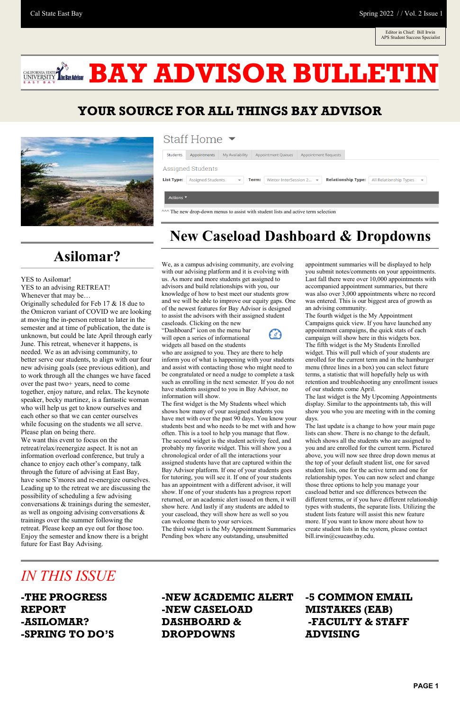### **YOUR SOURCE FOR ALL THINGS BAY ADVISOR**



### Staff Home  $\blacktriangleright$

| Students                                                                              | Appointments             | My Availability          | <b>Appointment Queues</b>                            | <b>Appointment Requests</b> |                           |                        |                         |  |
|---------------------------------------------------------------------------------------|--------------------------|--------------------------|------------------------------------------------------|-----------------------------|---------------------------|------------------------|-------------------------|--|
| Assigned Students                                                                     |                          |                          |                                                      |                             |                           |                        |                         |  |
| <b>List Type:</b>                                                                     | <b>Assigned Students</b> | $\overline{\phantom{a}}$ | Winter InterSession 2 $\blacktriangleright$<br>Term: |                             | <b>Relationship Type:</b> | All Relationship Types | $\overline{\mathbf{v}}$ |  |
| Actions ▼                                                                             |                          |                          |                                                      |                             |                           |                        |                         |  |
| $\sim$ The new drop-down menus to assist with student lists and active term selection |                          |                          |                                                      |                             |                           |                        |                         |  |

## **Asilomar?**

YES to Asilomar!

YES to an advising RETREAT!

Whenever that may be…

Originally scheduled for Feb 17 & 18 due to the Omicron variant of COVID we are looking at moving the in-person retreat to later in the semester and at time of publication, the date is unknown, but could be late April through early June. This retreat, whenever it happens, is needed. We as an advising community, to better serve our students, to align with our four new advising goals (see previous edition), and to work through all the changes we have faced over the past two+ years, need to come together, enjoy nature, and relax. The keynote speaker, becky martinez, is a fantastic woman who will help us get to know ourselves and each other so that we can center ourselves while focusing on the students we all serve. Please plan on being there.

We want this event to focus on the retreat/relax/reenergize aspect. It is not an information overload conference, but truly a chance to enjoy each other's company, talk through the future of advising at East Bay, have some S'mores and re-energize ourselves. Leading up to the retreat we are discussing the possibility of scheduling a few advising conversations & trainings during the semester, as well as ongoing advising conversations & trainings over the summer following the retreat. Please keep an eye out for those too. Enjoy the semester and know there is a bright future for East Bay Advising.

## **New Caseload Dashboard & Dropdowns**

We, as a campus advising community, are evolving with our advising platform and it is evolving with us. As more and more students get assigned to advisors and build relationships with you, our knowledge of how to best meet our students grow and we will be able to improve our equity gaps. One of the newest features for Bay Advisor is designed to assist the advisors with their assigned student caseloads. Clicking on the new

"Dashboard" icon on the menu bar will open a series of informational widgets all based on the students



who are assigned to you. They are there to help inform you of what is happening with your students and assist with contacting those who might need to be congratulated or need a nudge to complete a task such as enrolling in the next semester. If you do not have students assigned to you in Bay Advisor, no information will show.

The first widget is the My Students wheel which shows how many of your assigned students you have met with over the past 90 days. You know your students best and who needs to be met with and how often. This is a tool to help you manage that flow. The second widget is the student activity feed, and probably my favorite widget. This will show you a chronological order of all the interactions your assigned students have that are captured within the Bay Advisor platform. If one of your students goes for tutoring, you will see it. If one of your students has an appointment with a different advisor, it will show. If one of your students has a progress report returned, or an academic alert issued on them, it will show here. And lastly if any students are added to your caseload, they will show here as well so you can welcome them to your services. The third widget is the My Appointment Summaries Pending box where any outstanding, unsubmitted

appointment summaries will be displayed to help you submit notes/comments on your appointments. Last fall there were over 10,000 appointments with accompanied appointment summaries, but there was also over 3,000 appointments where no record was entered. This is our biggest area of growth as an advising community.

The fourth widget is the My Appointment Campaigns quick view. If you have launched any appointment campaigns, the quick stats of each campaign will show here in this widgets box. The fifth widget is the My Students Enrolled widget. This will pull which of your students are enrolled for the current term and in the hamburger menu (three lines in a box) you can select future terms, a statistic that will hopefully help us with retention and troubleshooting any enrollment issues of our students come April.

The last widget is the My Upcoming Appointments display. Similar to the appointments tab, this will show you who you are meeting with in the coming days.

The last update is a change to how your main page lists can show. There is no change to the default, which shows all the students who are assigned to you and are enrolled for the current term. Pictured above, you will now see three drop down menus at the top of your default student list, one for saved student lists, one for the active term and one for relationship types. You can now select and change those three options to help you manage your caseload better and see differences between the different terms, or if you have different relationship types with students, the separate lists. Utilizing the student lists feature will assist this new feature more. If you want to know more about how to create student lists in the system, please contact bill.irwin@csueastbay.edu.

## *IN THIS ISSUE*

**-THE PROGRESS REPORT -ASILOMAR? -SPRING TO DO'S**

**-NEW ACADEMIC ALERT -NEW CASELOAD DASHBOARD & DROPDOWNS -5 COMMON EMAIL MISTAKES (EAB) -FACULTY & STAFF ADVISING** 



**BAY ADVISOR BULLETIN**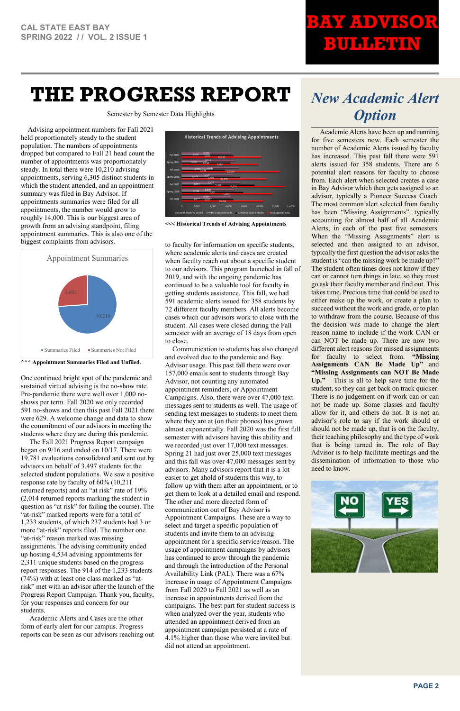# **BAY ADVISOR BULLETIN**

# **THE PROGRESS REPORT**

Semester by Semester Data Highlights

# *New Academic Alert Option*

 Academic Alerts have been up and running for five semesters now. Each semester the number of Academic Alerts issued by faculty has increased. This past fall there were 591 alerts issued for 358 students. There are 6 potential alert reasons for faculty to choose from. Each alert when selected creates a case in Bay Advisor which then gets assigned to an advisor, typically a Pioneer Success Coach. The most common alert selected from faculty has been "Missing Assignments", typically accounting for almost half of all Academic Alerts, in each of the past five semesters. When the "Missing Assignments" alert is selected and then assigned to an advisor, typically the first question the advisor asks the student is "can the missing work be made up?" The student often times does not know if they can or cannot turn things in late, so they must go ask their faculty member and find out. This takes time. Precious time that could be used to either make up the work, or create a plan to succeed without the work and grade, or to plan to withdraw from the course. Because of this the decision was made to change the alert reason name to include if the work CAN or can NOT be made up. There are now two different alert reasons for missed assignments for faculty to select from. **"Missing Assignments CAN Be Made Up"** and **"Missing Assignments can NOT Be Made Up."** This is all to help save time for the student, so they can get back on track quicker. There is no judgement on if work can or can not be made up. Some classes and faculty allow for it, and others do not. It is not an advisor's role to say if the work should or should not be made up, that is on the faculty, their teaching philosophy and the type of work that is being turned in. The role of Bay Advisor is to help facilitate meetings and the dissemination of information to those who need to know.



 Advising appointment numbers for Fall 2021 held proportionately steady to the student population. The numbers of appointments dropped but compared to Fall 21 head count the number of appointments was proportionately steady. In total there were 10,210 advising appointments, serving 6,305 distinct students in which the student attended, and an appointment summary was filed in Bay Advisor. If appointments summaries were filed for all appointments, the number would grow to roughly 14,000. This is our biggest area of growth from an advising standpoint, filing appointment summaries. This is also one of the biggest complaints from advisors.

**^^^ Appointment Summaries Filed and Unfiled**.

One continued bright spot of the pandemic and sustained virtual advising is the no-show rate. Pre-pandemic there were well over 1,000 noshows per term. Fall 2020 we only recorded 591 no-shows and then this past Fall 2021 there were 629. A welcome change and data to show the commitment of our advisors in meeting the students where they are during this pandemic.

 The Fall 2021 Progress Report campaign began on 9/16 and ended on 10/17. There were 19,781 evaluations consolidated and sent out by advisors on behalf of 3,497 students for the selected student populations. We saw a positive response rate by faculty of 60% (10,211 returned reports) and an "at risk" rate of 19% (2,014 returned reports marking the student in question as "at risk" for failing the course). The "at-risk" marked reports were for a total of 1,233 students, of which 237 students had 3 or more "at-risk" reports filed. The number one "at-risk" reason marked was missing assignments. The advising community ended up hosting 4,534 advising appointments for 2,311 unique students based on the progress report responses. The 914 of the 1,233 students (74%) with at least one class marked as "atrisk" met with an advisor after the launch of the Progress Report Campaign. Thank you, faculty, for your responses and concern for our students.

 Academic Alerts and Cases are the other form of early alert for our campus. Progress reports can be seen as our advisors reaching out



**<<< Historical Trends of Advising Appointments**

to faculty for information on specific students, where academic alerts and cases are created when faculty reach out about a specific student to our advisors. This program launched in fall of 2019, and with the ongoing pandemic has continued to be a valuable tool for faculty in getting students assistance. This fall, we had 591 academic alerts issued for 358 students by 72 different faculty members. All alerts become cases which our advisors work to close with the student. All cases were closed during the Fall semester with an average of 18 days from open to close.

Communication to students has also changed and evolved due to the pandemic and Bay Advisor usage. This past fall there were over 157,000 emails sent to students through Bay Advisor, not counting any automated appointment reminders, or Appointment Campaigns. Also, there were over 47,000 text messages sent to students as well. The usage of sending text messages to students to meet them where they are at (on their phones) has grown almost exponentially. Fall 2020 was the first full semester with advisors having this ability and we recorded just over 17,000 text messages. Spring 21 had just over 25,000 text messages and this fall was over 47,000 messages sent by advisors. Many advisors report that it is a lot easier to get ahold of students this way, to follow up with them after an appointment, or to get them to look at a detailed email and respond. The other and more directed form of communication out of Bay Advisor is Appointment Campaigns. These are a way to select and target a specific population of students and invite them to an advising appointment for a specific service/reason. The usage of appointment campaigns by advisors has continued to grow through the pandemic and through the introduction of the Personal Availability Link (PAL). There was a 67% increase in usage of Appointment Campaigns from Fall 2020 to Fall 2021 as well as an increase in appointments derived from the campaigns. The best part for student success is when analyzed over the year, students who attended an appointment derived from an appointment campaign persisted at a rate of 4.1% higher than those who were invited but did not attend an appointment.

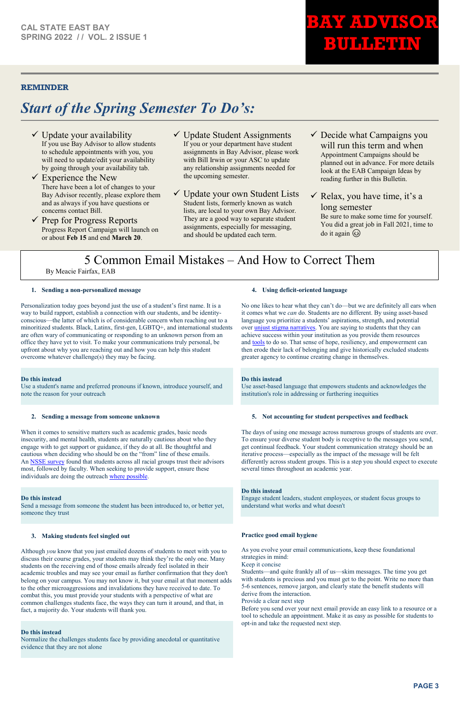**BAY ADVISOR** 

**BULLETIN** 

### **REMINDER**

## *Start of the Spring Semester To Do's:*

- $\checkmark$  Update your availability If you use Bay Advisor to allow students to schedule appointments with you, you will need to update/edit your availability by going through your availability tab.
- $\checkmark$  Experience the New There have been a lot of changes to your Bay Advisor recently, please explore them and as always if you have questions or concerns contact Bill.
- $\checkmark$  Prep for Progress Reports Progress Report Campaign will launch on or about **Feb 15** and end **March 20**.
- Update Student Assignments If you or your department have student assignments in Bay Advisor, please work with Bill Irwin or your ASC to update any relationship assignments needed for the upcoming semester.
- Update your own Student Lists Student lists, formerly known as watch lists, are local to your own Bay Advisor. They are a good way to separate student assignments, especially for messaging, and should be updated each term.
- $\checkmark$  Decide what Campaigns you will run this term and when Appointment Campaigns should be planned out in advance. For more details look at the EAB Campaign Ideas by reading further in this Bulletin.

 $\checkmark$  Relax, you have time, it's a long semester Be sure to make some time for yourself.

You did a great job in Fall 2021, time to do it again  $\circled{e}$ 

### **1. Sending a non-personalized message**

Personalization today goes beyond just the use of a student's first name. It is a way to build rapport, establish a connection with our students, and be identityconscious—the latter of which is of considerable concern when reaching out to a minoritized students. Black, Latinx, first-gen, LGBTQ+, and international students are often wary of communicating or responding to an unknown person from an office they have yet to visit. To make your communications truly personal, be upfront about why you are reaching out and how you can help this student overcome whatever challenge(s) they may be facing.

### **Do this instead**

Use a student's name and preferred pronouns if known, introduce yourself, and note the reason for your outreach

#### **2. Sending a message from someone unknown**

When it comes to sensitive matters such as academic grades, basic needs insecurity, and mental health, students are naturally cautious about who they engage with to get support or guidance, if they do at all. Be thoughtful and cautious when deciding who should be on the "from" line of these emails. An [NSSE survey](https://nsse.indiana.edu/research/annual-results/trust/index.html?utm_source=eabdb&utm_medium=email&utm_campaign=eabdb) found that students across all racial groups trust their advisors most, followed by faculty. When seeking to provide support, ensure these individuals are doing the outreach [where possible.](https://www.newamerica.org/education-policy/reports/keeping-student-trust/?utm_source=eabdb&utm_medium=email&utm_campaign=eabdb)

#### **Do this instead**

Send a message from someone the student has been introduced to, or better yet, someone they trust

#### **3. Making students feel singled out**

Although *you* know that you just emailed dozens of students to meet with you to discuss their course grades, your students may think they're the only one. Many students on the receiving end of those emails already feel isolated in their academic troubles and may see your email as further confirmation that they don't belong on your campus. You may not know it, but your email at that moment adds to the other microaggressions and invalidations they have received to date. To combat this, you must provide your students with a perspective of what are common challenges students face, the ways they can turn it around, and that, in fact, a majority do. Your students will thank you.

#### **Do this instead**

Normalize the challenges students face by providing anecdotal or quantitative evidence that they are not alone

### **4. Using deficit-oriented language**

No one likes to hear what they can't do—but we are definitely all ears when it comes what we *can* do. Students are no different. By using asset-based language you prioritize a students' aspirations, strength, and potential over [unjust stigma narratives.](https://www.brookings.edu/blog/up-front/2020/11/19/the-challenges-facing-black-men-and-the-case-for-action/?utm_source=eabdb&utm_medium=email&utm_campaign=eabdb) You are saying to students that they can achieve success within your institution as you provide them resources and [tools](https://eab.com/products/navigate/?utm_source=eabdb&utm_medium=email&utm_campaign=eabdb) to do so. That sense of hope, resiliency, and empowerment can then erode their lack of belonging and give historically excluded students greater agency to continue creating change in themselves.

### **Do this instead**

Use asset-based language that empowers students and acknowledges the institution's role in addressing or furthering inequities

#### **5. Not accounting for student perspectives and feedback**

The days of using one message across numerous groups of students are over. To ensure your diverse student body is receptive to the messages you send, get continual feedback. Your student communication strategy should be an iterative process—especially as the impact of the message will be felt differently across student groups. This is a step you should expect to execute several times throughout an academic year.

#### **Do this instead**

Engage student leaders, student employees, or student focus groups to understand what works and what doesn't

### **Practice good email hygiene**

As you evolve your email communications, keep these foundational strategies in mind:

#### Keep it concise

Students—and quite frankly all of us—skim messages. The time you get with students is precious and you must get to the point. Write no more than 5-6 sentences, remove jargon, and clearly state the benefit students will derive from the interaction.

Provide a clear next step

Before you send over your next email provide an easy link to a resource or a tool to schedule an appointment. Make it as easy as possible for students to opt-in and take the requested next step.

### 5 Common Email Mistakes – And How to Correct Them

By Meacie Fairfax, EAB